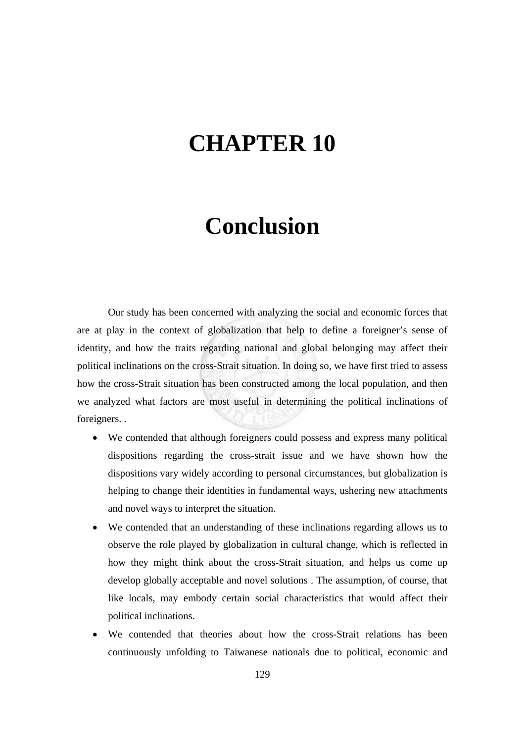## **CHAPTER 10**

## **Conclusion**

Our study has been concerned with analyzing the social and economic forces that are at play in the context of globalization that help to define a foreigner's sense of identity, and how the traits regarding national and global belonging may affect their political inclinations on the cross-Strait situation. In doing so, we have first tried to assess how the cross-Strait situation has been constructed among the local population, and then we analyzed what factors are most useful in determining the political inclinations of foreigners. .

- We contended that although foreigners could possess and express many political dispositions regarding the cross-strait issue and we have shown how the dispositions vary widely according to personal circumstances, but globalization is helping to change their identities in fundamental ways, ushering new attachments and novel ways to interpret the situation.
- We contended that an understanding of these inclinations regarding allows us to observe the role played by globalization in cultural change, which is reflected in how they might think about the cross-Strait situation, and helps us come up develop globally acceptable and novel solutions . The assumption, of course, that like locals, may embody certain social characteristics that would affect their political inclinations.
- We contended that theories about how the cross-Strait relations has been continuously unfolding to Taiwanese nationals due to political, economic and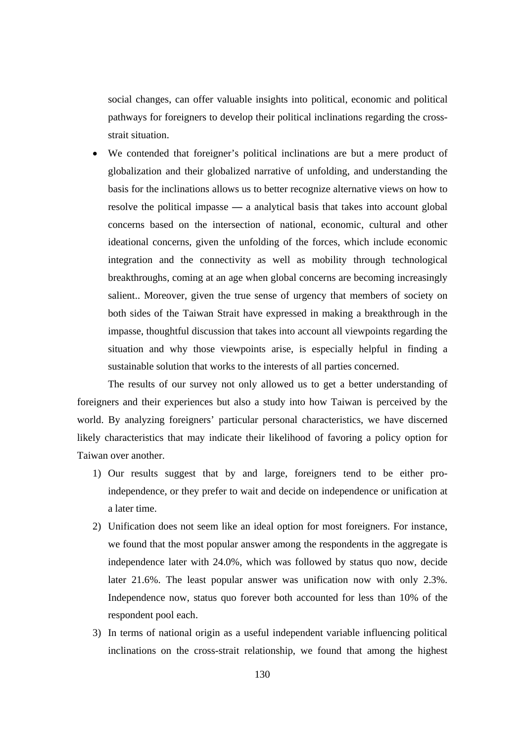social changes, can offer valuable insights into political, economic and political pathways for foreigners to develop their political inclinations regarding the crossstrait situation.

• We contended that foreigner's political inclinations are but a mere product of globalization and their globalized narrative of unfolding, and understanding the basis for the inclinations allows us to better recognize alternative views on how to resolve the political impasse **—** a analytical basis that takes into account global concerns based on the intersection of national, economic, cultural and other ideational concerns, given the unfolding of the forces, which include economic integration and the connectivity as well as mobility through technological breakthroughs, coming at an age when global concerns are becoming increasingly salient.. Moreover, given the true sense of urgency that members of society on both sides of the Taiwan Strait have expressed in making a breakthrough in the impasse, thoughtful discussion that takes into account all viewpoints regarding the situation and why those viewpoints arise, is especially helpful in finding a sustainable solution that works to the interests of all parties concerned.

 The results of our survey not only allowed us to get a better understanding of foreigners and their experiences but also a study into how Taiwan is perceived by the world. By analyzing foreigners' particular personal characteristics, we have discerned likely characteristics that may indicate their likelihood of favoring a policy option for Taiwan over another.

- 1) Our results suggest that by and large, foreigners tend to be either proindependence, or they prefer to wait and decide on independence or unification at a later time.
- 2) Unification does not seem like an ideal option for most foreigners. For instance, we found that the most popular answer among the respondents in the aggregate is independence later with 24.0%, which was followed by status quo now, decide later 21.6%. The least popular answer was unification now with only 2.3%. Independence now, status quo forever both accounted for less than 10% of the respondent pool each.
- 3) In terms of national origin as a useful independent variable influencing political inclinations on the cross-strait relationship, we found that among the highest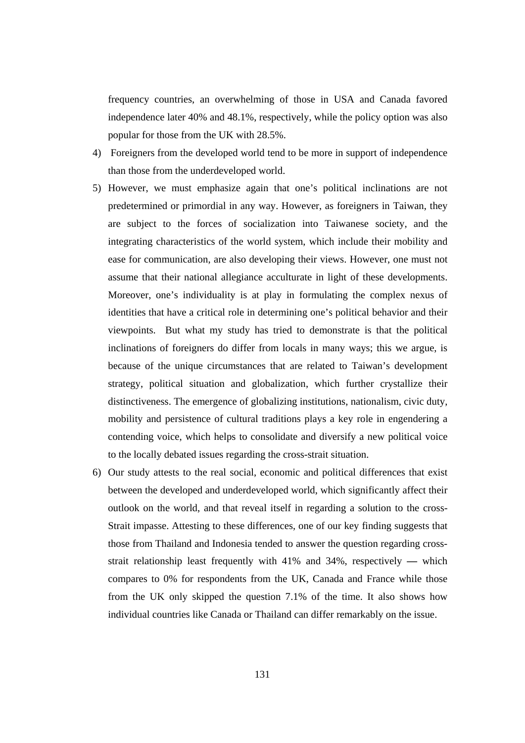frequency countries, an overwhelming of those in USA and Canada favored independence later 40% and 48.1%, respectively, while the policy option was also popular for those from the UK with 28.5%.

- 4) Foreigners from the developed world tend to be more in support of independence than those from the underdeveloped world.
- 5) However, we must emphasize again that one's political inclinations are not predetermined or primordial in any way. However, as foreigners in Taiwan, they are subject to the forces of socialization into Taiwanese society, and the integrating characteristics of the world system, which include their mobility and ease for communication, are also developing their views. However, one must not assume that their national allegiance acculturate in light of these developments. Moreover, one's individuality is at play in formulating the complex nexus of identities that have a critical role in determining one's political behavior and their viewpoints. But what my study has tried to demonstrate is that the political inclinations of foreigners do differ from locals in many ways; this we argue, is because of the unique circumstances that are related to Taiwan's development strategy, political situation and globalization, which further crystallize their distinctiveness. The emergence of globalizing institutions, nationalism, civic duty, mobility and persistence of cultural traditions plays a key role in engendering a contending voice, which helps to consolidate and diversify a new political voice to the locally debated issues regarding the cross-strait situation.
- 6) Our study attests to the real social, economic and political differences that exist between the developed and underdeveloped world, which significantly affect their outlook on the world, and that reveal itself in regarding a solution to the cross-Strait impasse. Attesting to these differences, one of our key finding suggests that those from Thailand and Indonesia tended to answer the question regarding crossstrait relationship least frequently with 41% and 34%, respectively **—** which compares to 0% for respondents from the UK, Canada and France while those from the UK only skipped the question 7.1% of the time. It also shows how individual countries like Canada or Thailand can differ remarkably on the issue.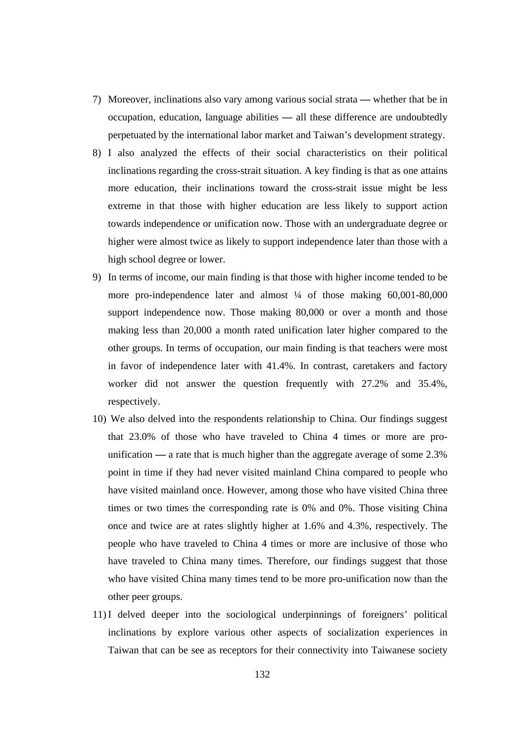- 7) Moreover, inclinations also vary among various social strata **—** whether that be in occupation, education, language abilities **—** all these difference are undoubtedly perpetuated by the international labor market and Taiwan's development strategy.
- 8) I also analyzed the effects of their social characteristics on their political inclinations regarding the cross-strait situation. A key finding is that as one attains more education, their inclinations toward the cross-strait issue might be less extreme in that those with higher education are less likely to support action towards independence or unification now. Those with an undergraduate degree or higher were almost twice as likely to support independence later than those with a high school degree or lower.
- 9) In terms of income, our main finding is that those with higher income tended to be more pro-independence later and almost  $\frac{1}{4}$  of those making 60,001-80,000 support independence now. Those making 80,000 or over a month and those making less than 20,000 a month rated unification later higher compared to the other groups. In terms of occupation, our main finding is that teachers were most in favor of independence later with 41.4%. In contrast, caretakers and factory worker did not answer the question frequently with 27.2% and 35.4%, respectively.
- 10) We also delved into the respondents relationship to China. Our findings suggest that 23.0% of those who have traveled to China 4 times or more are prounification **—** a rate that is much higher than the aggregate average of some 2.3% point in time if they had never visited mainland China compared to people who have visited mainland once. However, among those who have visited China three times or two times the corresponding rate is 0% and 0%. Those visiting China once and twice are at rates slightly higher at 1.6% and 4.3%, respectively. The people who have traveled to China 4 times or more are inclusive of those who have traveled to China many times. Therefore, our findings suggest that those who have visited China many times tend to be more pro-unification now than the other peer groups.
- 11)I delved deeper into the sociological underpinnings of foreigners' political inclinations by explore various other aspects of socialization experiences in Taiwan that can be see as receptors for their connectivity into Taiwanese society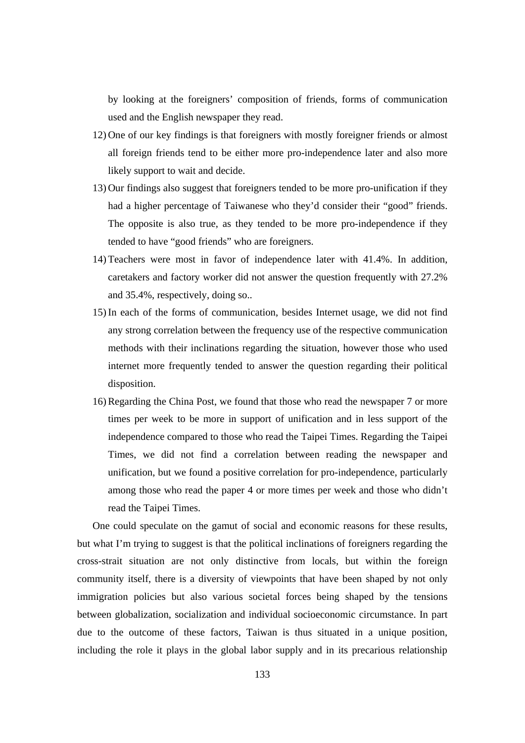by looking at the foreigners' composition of friends, forms of communication used and the English newspaper they read.

- 12) One of our key findings is that foreigners with mostly foreigner friends or almost all foreign friends tend to be either more pro-independence later and also more likely support to wait and decide.
- 13) Our findings also suggest that foreigners tended to be more pro-unification if they had a higher percentage of Taiwanese who they'd consider their "good" friends. The opposite is also true, as they tended to be more pro-independence if they tended to have "good friends" who are foreigners.
- 14) Teachers were most in favor of independence later with 41.4%. In addition, caretakers and factory worker did not answer the question frequently with 27.2% and 35.4%, respectively, doing so..
- 15)In each of the forms of communication, besides Internet usage, we did not find any strong correlation between the frequency use of the respective communication methods with their inclinations regarding the situation, however those who used internet more frequently tended to answer the question regarding their political disposition.
- 16)Regarding the China Post, we found that those who read the newspaper 7 or more times per week to be more in support of unification and in less support of the independence compared to those who read the Taipei Times. Regarding the Taipei Times, we did not find a correlation between reading the newspaper and unification, but we found a positive correlation for pro-independence, particularly among those who read the paper 4 or more times per week and those who didn't read the Taipei Times.

One could speculate on the gamut of social and economic reasons for these results, but what I'm trying to suggest is that the political inclinations of foreigners regarding the cross-strait situation are not only distinctive from locals, but within the foreign community itself, there is a diversity of viewpoints that have been shaped by not only immigration policies but also various societal forces being shaped by the tensions between globalization, socialization and individual socioeconomic circumstance. In part due to the outcome of these factors, Taiwan is thus situated in a unique position, including the role it plays in the global labor supply and in its precarious relationship